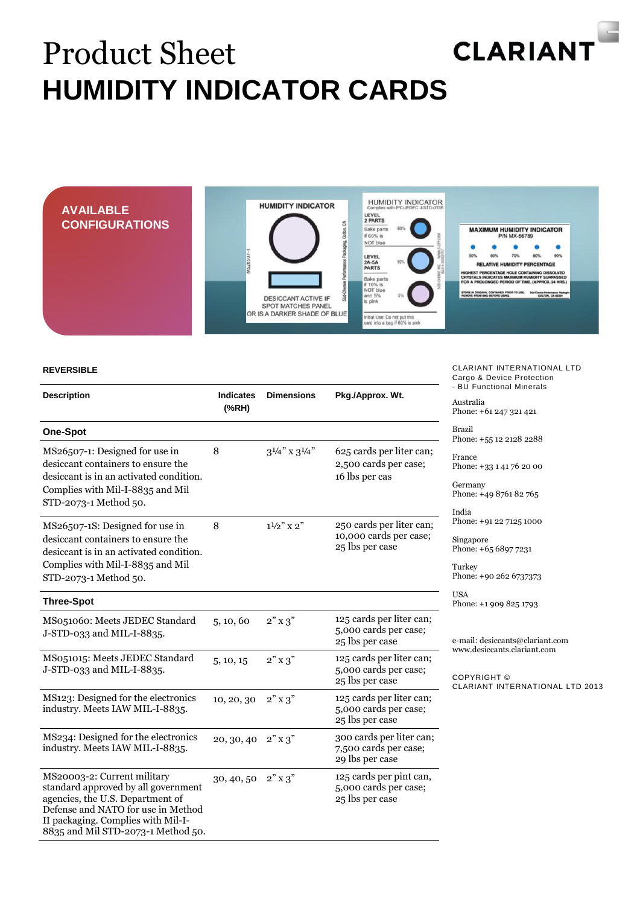## **CLARIANT** Product Sheet **HUMIDITY INDICATOR CARDS**



**REVERSIBLE**

| <b>Description</b>                                                                                                                                                                                                       | <b>Indicates</b><br>(% H) | <b>Dimensions</b>         | Pkg./Approx. Wt.                                                      |
|--------------------------------------------------------------------------------------------------------------------------------------------------------------------------------------------------------------------------|---------------------------|---------------------------|-----------------------------------------------------------------------|
| <b>One-Spot</b>                                                                                                                                                                                                          |                           |                           |                                                                       |
| MS26507-1: Designed for use in<br>desiccant containers to ensure the<br>desiccant is in an activated condition.<br>Complies with Mil-I-8835 and Mil<br>STD-2073-1 Method 50.                                             | 8                         | $3^{1/4}$ " x $3^{1/4}$ " | 625 cards per liter can;<br>2,500 cards per case;<br>16 lbs per cas   |
| MS26507-1S: Designed for use in<br>desiccant containers to ensure the<br>desiccant is in an activated condition.<br>Complies with Mil-I-8835 and Mil<br>STD-2073-1 Method 50.                                            | 8                         | $1\frac{1}{2}$ x 2"       | 250 cards per liter can;<br>10,000 cards per case;<br>25 lbs per case |
| <b>Three-Spot</b>                                                                                                                                                                                                        |                           |                           |                                                                       |
| MS051060: Meets JEDEC Standard<br>J-STD-033 and MIL-I-8835.                                                                                                                                                              | 5, 10, 60                 | $2"$ x 3"                 | 125 cards per liter can;<br>5,000 cards per case;<br>25 lbs per case  |
| MS051015: Meets JEDEC Standard<br>J-STD-033 and MIL-I-8835.                                                                                                                                                              | 5, 10, 15                 | $2"$ x 3"                 | 125 cards per liter can;<br>5,000 cards per case;<br>25 lbs per case  |
| MS123: Designed for the electronics<br>industry. Meets IAW MIL-I-8835.                                                                                                                                                   | 10, 20, 30                | $2"$ x 3"                 | 125 cards per liter can;<br>5,000 cards per case;<br>25 lbs per case  |
| MS234: Designed for the electronics<br>industry. Meets IAW MIL-I-8835.                                                                                                                                                   | 20, 30, 40                | $2"$ x 3"                 | 300 cards per liter can;<br>7,500 cards per case;<br>29 lbs per case  |
| MS20003-2: Current military<br>standard approved by all government<br>agencies, the U.S. Department of<br>Defense and NATO for use in Method<br>II packaging. Complies with Mil-I-<br>8835 and Mil STD-2073-1 Method 50. | 30, 40, 50                | $2"$ x 3"                 | 125 cards per pint can,<br>5,000 cards per case;<br>25 lbs per case   |

CLARIANT INTERNATIONAL LTD Cargo & Device Protection - BU Functional Minerals

Australia Phone: +61 247 321 421

Brazil Phone: +55 12 2128 2288

France Phone: +33 1 41 76 20 00

**Germany** Phone: +49 8761 82 765

ndia Phone: +91 22 7125 1000

Singapore Phone: +65 6897 7231

Turkey Phone: +90 262 6737373

USA Phone: +1 909 825 1793

e-mail: desiccants@clariant.com www.desiccants.clariant.com

COPYRIGHT © CLARIANT INTERNATIONAL LTD 2013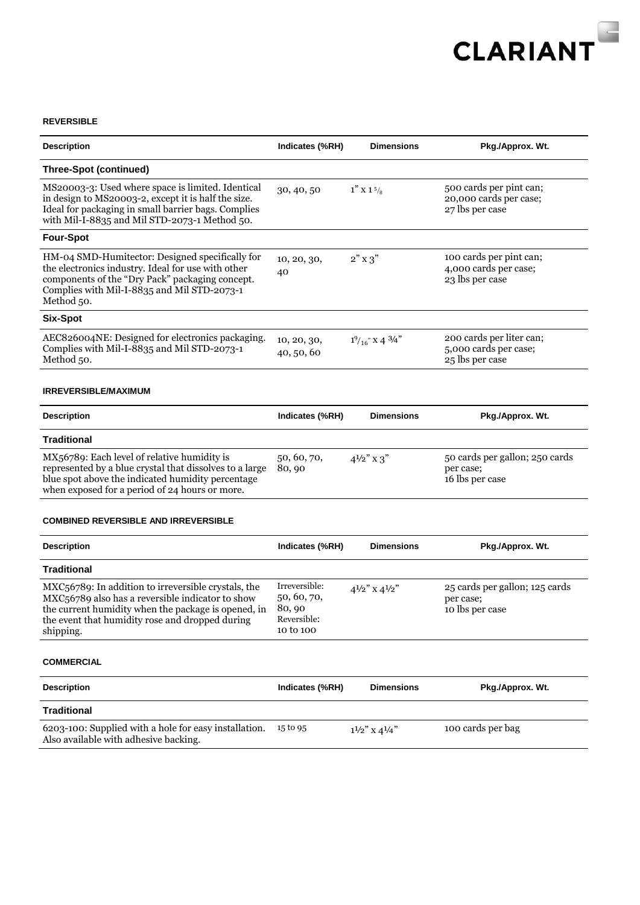

## **REVERSIBLE**

| <b>Description</b>                                                                                                                                                                                                             | Indicates (%RH)                                                   | <b>Dimensions</b>                   | Pkg./Approx. Wt.                                                     |
|--------------------------------------------------------------------------------------------------------------------------------------------------------------------------------------------------------------------------------|-------------------------------------------------------------------|-------------------------------------|----------------------------------------------------------------------|
| <b>Three-Spot (continued)</b>                                                                                                                                                                                                  |                                                                   |                                     |                                                                      |
| MS20003-3: Used where space is limited. Identical<br>in design to MS20003-2, except it is half the size.<br>Ideal for packaging in small barrier bags. Complies<br>with Mil-I-8835 and Mil STD-2073-1 Method 50.               | 30, 40, 50                                                        | $1''$ X 1 $\frac{5}{8}$             | 500 cards per pint can;<br>20,000 cards per case;<br>27 lbs per case |
| <b>Four-Spot</b>                                                                                                                                                                                                               |                                                                   |                                     |                                                                      |
| HM-04 SMD-Humitector: Designed specifically for<br>the electronics industry. Ideal for use with other<br>components of the "Dry Pack" packaging concept.<br>Complies with Mil-I-8835 and Mil STD-2073-1<br>Method 50.          | 10, 20, 30,<br>40                                                 | $2"$ x 3"                           | 100 cards per pint can;<br>4,000 cards per case;<br>23 lbs per case  |
| Six-Spot                                                                                                                                                                                                                       |                                                                   |                                     |                                                                      |
| AEC826004NE: Designed for electronics packaging.<br>Complies with Mil-I-8835 and Mil STD-2073-1<br>Method 50.                                                                                                                  | 10, 20, 30,<br>40, 50, 60                                         | $1\frac{9}{16}$ x 4 $\frac{3}{4}$ " | 200 cards per liter can;<br>5,000 cards per case;<br>25 lbs per case |
| <b>IRREVERSIBLE/MAXIMUM</b>                                                                                                                                                                                                    |                                                                   |                                     |                                                                      |
| <b>Description</b>                                                                                                                                                                                                             | Indicates (%RH)                                                   | <b>Dimensions</b>                   | Pkg./Approx. Wt.                                                     |
| Traditional                                                                                                                                                                                                                    |                                                                   |                                     |                                                                      |
| MX56789: Each level of relative humidity is<br>represented by a blue crystal that dissolves to a large<br>blue spot above the indicated humidity percentage<br>when exposed for a period of 24 hours or more.                  | 50, 60, 70,<br>80,90                                              | $4\frac{1}{2}$ x 3"                 | 50 cards per gallon; 250 cards<br>per case;<br>16 lbs per case       |
| <b>COMBINED REVERSIBLE AND IRREVERSIBLE</b>                                                                                                                                                                                    |                                                                   |                                     |                                                                      |
| <b>Description</b>                                                                                                                                                                                                             | Indicates (%RH)                                                   | <b>Dimensions</b>                   | Pkg./Approx. Wt.                                                     |
| <b>Traditional</b>                                                                                                                                                                                                             |                                                                   |                                     |                                                                      |
| MXC56789: In addition to irreversible crystals, the<br>MXC56789 also has a reversible indicator to show<br>the current humidity when the package is opened, in<br>the event that humidity rose and dropped during<br>shipping. | Irreversible:<br>50, 60, 70,<br>80,90<br>Reversible:<br>10 to 100 | $4\frac{1}{2}$ x $4\frac{1}{2}$ "   | 25 cards per gallon; 125 cards<br>per case;<br>10 lbs per case       |
| <b>COMMERCIAL</b>                                                                                                                                                                                                              |                                                                   |                                     |                                                                      |
| <b>Description</b>                                                                                                                                                                                                             | Indicates (%RH)                                                   | <b>Dimensions</b>                   | Pkg./Approx. Wt.                                                     |
| <b>Traditional</b>                                                                                                                                                                                                             |                                                                   |                                     |                                                                      |
| 6203-100: Supplied with a hole for easy installation.                                                                                                                                                                          | 15 to 95                                                          | $1^{1/2}$ " X 4 <sup>1</sup> /4"    | 100 cards per bag                                                    |